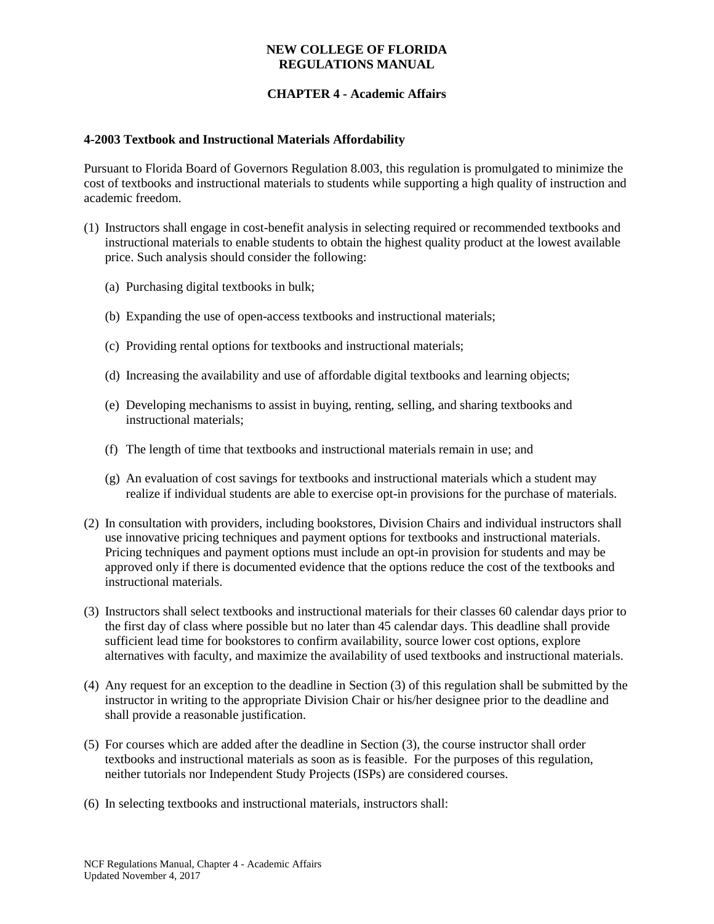# **CHAPTER 4 - Academic Affairs**

#### **4-2003 Textbook and Instructional Materials Affordability**

Pursuant to Florida Board of Governors Regulation 8.003, this regulation is promulgated to minimize the cost of textbooks and instructional materials to students while supporting a high quality of instruction and academic freedom.

- (1) Instructors shall engage in cost-benefit analysis in selecting required or recommended textbooks and instructional materials to enable students to obtain the highest quality product at the lowest available price. Such analysis should consider the following:
	- (a) Purchasing digital textbooks in bulk;
	- (b) Expanding the use of open-access textbooks and instructional materials;
	- (c) Providing rental options for textbooks and instructional materials;
	- (d) Increasing the availability and use of affordable digital textbooks and learning objects;
	- (e) Developing mechanisms to assist in buying, renting, selling, and sharing textbooks and instructional materials;
	- (f) The length of time that textbooks and instructional materials remain in use; and
	- (g) An evaluation of cost savings for textbooks and instructional materials which a student may realize if individual students are able to exercise opt-in provisions for the purchase of materials.
- (2) In consultation with providers, including bookstores, Division Chairs and individual instructors shall use innovative pricing techniques and payment options for textbooks and instructional materials. Pricing techniques and payment options must include an opt-in provision for students and may be approved only if there is documented evidence that the options reduce the cost of the textbooks and instructional materials.
- (3) Instructors shall select textbooks and instructional materials for their classes 60 calendar days prior to the first day of class where possible but no later than 45 calendar days. This deadline shall provide sufficient lead time for bookstores to confirm availability, source lower cost options, explore alternatives with faculty, and maximize the availability of used textbooks and instructional materials.
- (4) Any request for an exception to the deadline in Section (3) of this regulation shall be submitted by the instructor in writing to the appropriate Division Chair or his/her designee prior to the deadline and shall provide a reasonable justification.
- (5) For courses which are added after the deadline in Section (3), the course instructor shall order textbooks and instructional materials as soon as is feasible. For the purposes of this regulation, neither tutorials nor Independent Study Projects (ISPs) are considered courses.
- (6) In selecting textbooks and instructional materials, instructors shall: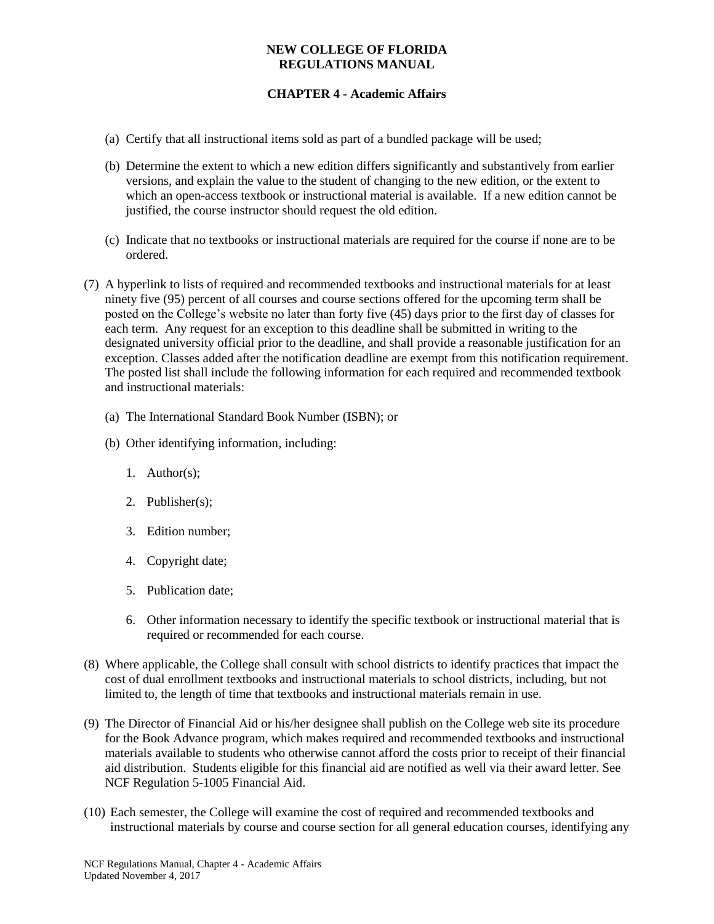# **CHAPTER 4 - Academic Affairs**

- (a) Certify that all instructional items sold as part of a bundled package will be used;
- (b) Determine the extent to which a new edition differs significantly and substantively from earlier versions, and explain the value to the student of changing to the new edition, or the extent to which an open-access textbook or instructional material is available. If a new edition cannot be justified, the course instructor should request the old edition.
- (c) Indicate that no textbooks or instructional materials are required for the course if none are to be ordered.
- (7) A hyperlink to lists of required and recommended textbooks and instructional materials for at least ninety five (95) percent of all courses and course sections offered for the upcoming term shall be posted on the College's website no later than forty five (45) days prior to the first day of classes for each term. Any request for an exception to this deadline shall be submitted in writing to the designated university official prior to the deadline, and shall provide a reasonable justification for an exception. Classes added after the notification deadline are exempt from this notification requirement. The posted list shall include the following information for each required and recommended textbook and instructional materials:
	- (a) The International Standard Book Number (ISBN); or
	- (b) Other identifying information, including:
		- 1. Author(s);
		- 2. Publisher(s);
		- 3. Edition number;
		- 4. Copyright date;
		- 5. Publication date;
		- 6. Other information necessary to identify the specific textbook or instructional material that is required or recommended for each course.
- (8) Where applicable, the College shall consult with school districts to identify practices that impact the cost of dual enrollment textbooks and instructional materials to school districts, including, but not limited to, the length of time that textbooks and instructional materials remain in use.
- (9) The Director of Financial Aid or his/her designee shall publish on the College web site its procedure for the Book Advance program, which makes required and recommended textbooks and instructional materials available to students who otherwise cannot afford the costs prior to receipt of their financial aid distribution. Students eligible for this financial aid are notified as well via their award letter. See NCF Regulation 5-1005 Financial Aid.
- (10) Each semester, the College will examine the cost of required and recommended textbooks and instructional materials by course and course section for all general education courses, identifying any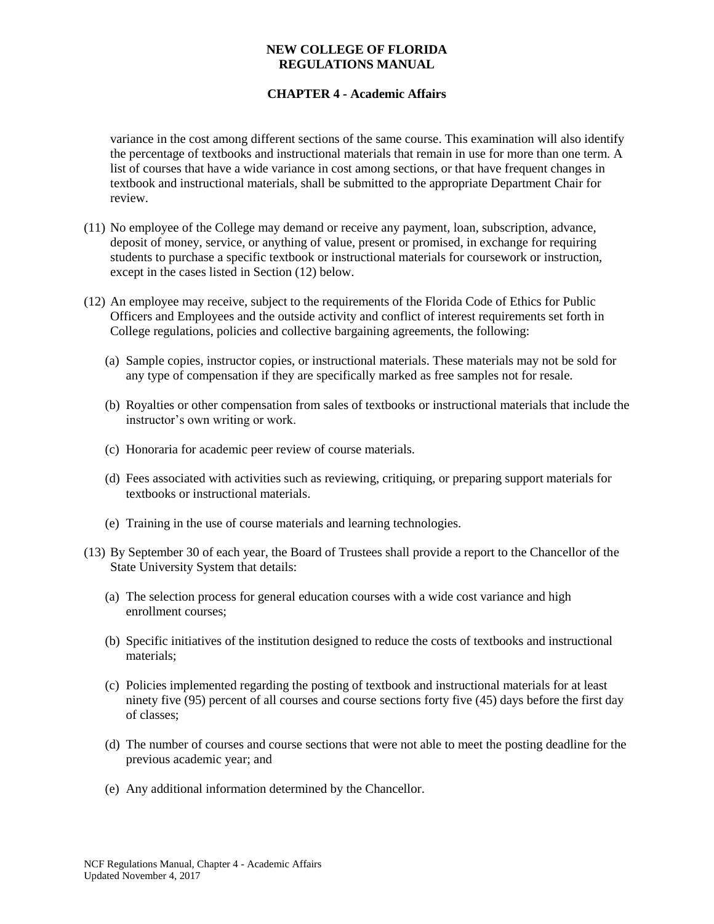## **CHAPTER 4 - Academic Affairs**

variance in the cost among different sections of the same course. This examination will also identify the percentage of textbooks and instructional materials that remain in use for more than one term. A list of courses that have a wide variance in cost among sections, or that have frequent changes in textbook and instructional materials, shall be submitted to the appropriate Department Chair for review.

- (11) No employee of the College may demand or receive any payment, loan, subscription, advance, deposit of money, service, or anything of value, present or promised, in exchange for requiring students to purchase a specific textbook or instructional materials for coursework or instruction, except in the cases listed in Section (12) below.
- (12) An employee may receive, subject to the requirements of the Florida Code of Ethics for Public Officers and Employees and the outside activity and conflict of interest requirements set forth in College regulations, policies and collective bargaining agreements, the following:
	- (a) Sample copies, instructor copies, or instructional materials. These materials may not be sold for any type of compensation if they are specifically marked as free samples not for resale.
	- (b) Royalties or other compensation from sales of textbooks or instructional materials that include the instructor's own writing or work.
	- (c) Honoraria for academic peer review of course materials.
	- (d) Fees associated with activities such as reviewing, critiquing, or preparing support materials for textbooks or instructional materials.
	- (e) Training in the use of course materials and learning technologies.
- (13) By September 30 of each year, the Board of Trustees shall provide a report to the Chancellor of the State University System that details:
	- (a) The selection process for general education courses with a wide cost variance and high enrollment courses;
	- (b) Specific initiatives of the institution designed to reduce the costs of textbooks and instructional materials;
	- (c) Policies implemented regarding the posting of textbook and instructional materials for at least ninety five (95) percent of all courses and course sections forty five (45) days before the first day of classes;
	- (d) The number of courses and course sections that were not able to meet the posting deadline for the previous academic year; and
	- (e) Any additional information determined by the Chancellor.